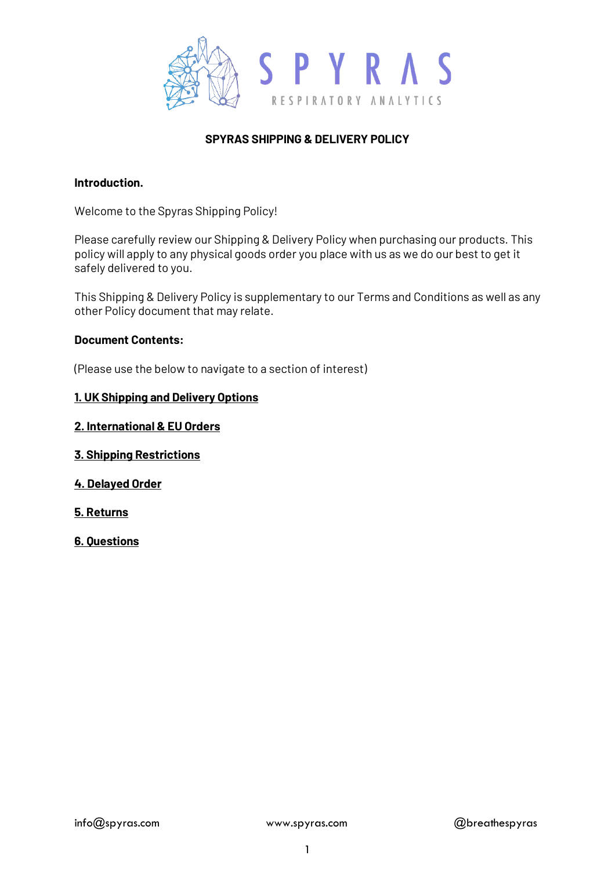

# **SPYRAS SHIPPING & DELIVERY POLICY**

#### **Introduction.**

Welcome to the Spyras Shipping Policy!

Please carefully review our Shipping & Delivery Policy when purchasing our products. This policy will apply to any physical goods order you place with us as we do our best to get it safely delivered to you.

This Shipping & Delivery Policy is supplementary to our Terms and Conditions as well as any other Policy document that may relate.

#### **Document Contents:**

(Please use the below to navigate to a section of interest)

#### **1. UK Shipping and Delivery Options**

**2. International & EU Orders**

#### **[3. Shipping](https://www.spyras.com/privacy-policy) Restrictions**

- **4. Delayed Order**
- **5. Returns**
- **6. Questions**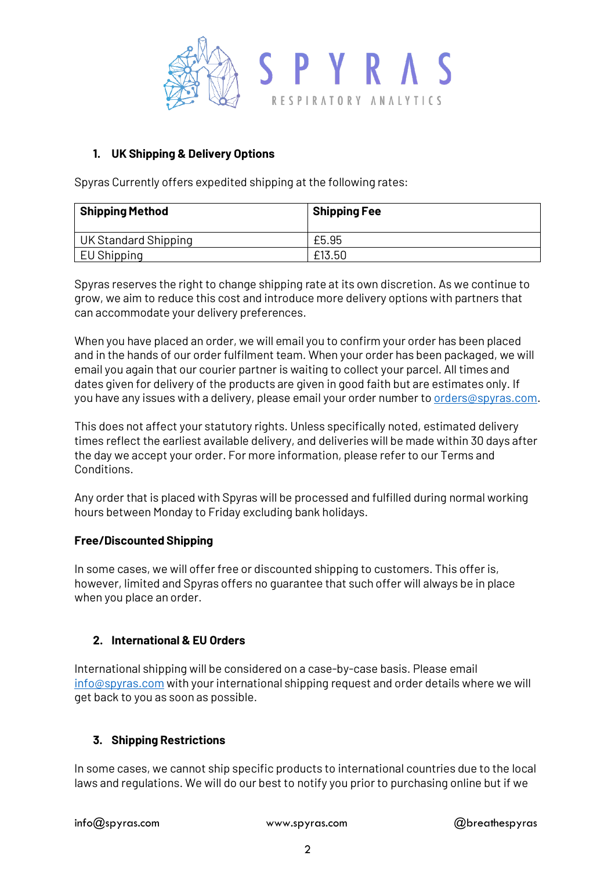

## **1. UK Shipping & Delivery Options**

Spyras Currently offers expedited shipping at the following rates:

| <b>Shipping Method</b> | <b>Shipping Fee</b> |
|------------------------|---------------------|
| UK Standard Shipping   | £5.95               |
| EU Shipping            | £13.50              |

Spyras reserves the right to change shipping rate at its own discretion. As we continue to grow, we aim to reduce this cost and introduce more delivery options with partners that can accommodate your delivery preferences.

When you have placed an order, we will email you to confirm your order has been placed and in the hands of our order fulfilment team. When your order has been packaged, we will email you again that our courier partner is waiting to collect your parcel. All times and dates given for delivery of the products are given in good faith but are estimates only. If you have any issues with a delivery, please email your order number t[o orders@spyras.com.](mailto:orders@spyras.com)

This does not affect your statutory rights. Unless specifically noted, estimated delivery times reflect the earliest available delivery, and deliveries will be made within 30 days after the day we accept your order. For more information, please refer to our Terms and Conditions.

Any order that is placed with Spyras will be processed and fulfilled during normal working hours between Monday to Friday excluding bank holidays.

## **Free/Discounted Shipping**

In some cases, we will offer free or discounted shipping to customers. This offer is, however, limited and Spyras offers no guarantee that such offer will always be in place when you place an order.

## **2. International & EU Orders**

International shipping will be considered on a case-by-case basis. Please email [info@spyras.com](mailto:info@spyras.com) with your international shipping request and order details where we will get back to you as soon as possible.

## **3. Shipping Restrictions**

In some cases, we cannot ship specific products to international countries due to the local laws and regulations. We will do our best to notify you prior to purchasing online but if we